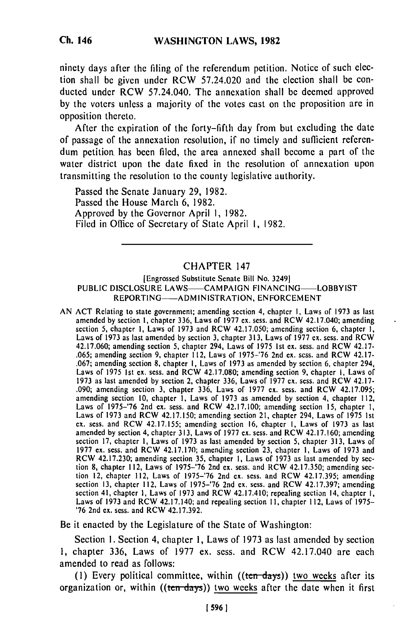ninety days after the filing of the referendum petition. Notice of such election shall be given under RCW 57.24.020 and the clection shall be conducted under RCW 57.24.040. The annexation shall be deemed approved **by** the voters unless a majority of the votes cast on the proposition are in opposition thereto.

After the expiration of the forty-fifth day from but excluding the date of passage of the annexation resolution, if no timely and sufficient referendum petition has been **filed,** the area annexed shall become a part of the water district upon the date fixed in the resolution of annexation upon transmitting the resolution to the county legislative authority.

Passed the Senate January 29, 1982. Passed the House March 6, 1982. Approved **by** the Governor April 1, 1982. Filed in Office of Secretary of State April 1, 1982.

## CHAPTER 147

## (Engrossed Substitute Senate Bill No. 3249] PUBLIC DISCLOSURE LAWS-CAMPAIGN FINANCING-LOBBYIST REPORTING-ADMINISTRATION, ENFORCEMENT

AN **ACT** Relating to state government; amending section 4, chapter **I,** Laws of **1973** as last amended **by** section **I,** chapter **336,** Laws of **1977** ex. scss. and RCW 42.17.040; amending section **5,** chapter **1,** Laws of 1973 and RCW 42.17.050; amending section 6, chapter **1,** Laws of **1973** as last amended by section **3,** chapter **313,** Laws **of 1977 cx.** scss. and RCW 42.17.060; amending section 5, chapter 294, Laws of **1975 Ist** ex. sess. and RCW 42.17- **.065;** amending section **9,** chapter **It2,** Laws of 1975-'76 2nd ex. scss. and RCW 42.17- **.067;** amending section **8,** chapter **I,** Laws of **1973** as amended **by** section 6, chapter 294, Laws of **1975 Ist** ex. sess. and RCW 42.17.080; amending section 9, chapter **I,** Laws of **1973** as last amended **by** section 2, chapter **336,** Laws of **1977** ex. sess. and RCW 42.17- .090; amending section **3,** chapter **336,** Laws of **1977 cx.** sess. and RCW 42.17.095; amending section 10, chapter **1,** Laws of **1973** as amended **by** section 4, chapter 112, Laws of **1975-'76** 2nd ex. sess. and RCW 42.17.100; amending section **15,** chapter **1,** Laws of **1973** and RCW 42.17.150; amending section 21, chapter 294, Laws of 1975 **Ist** Laws of 1973 and RCW 42.17.150; amending section 21, chapter 294, Laws of 1975 1st ex. sess. and RCW 42.17.155; amending section 16, chapter 1, Laws of 1973 as last amended **by** section 4, chapter **313,** Laws of 1977 **cx.** sess. and RCW 42.17.160; amending section **17,** chapter **1,** Laws of **1973** as last amended **by** section **5,** chapter **313,** Laws of **1977** ex. sess. and RCW **42.17.170;** amending section **23,** chapter **I,** Laws of **1973** and **RUP CX, SESS, and RCW 42.17.170; amending section 23, chapter 1, Laws of 1973 and**<br>RCW 42.17.230; amending section 25, abouter 1, Laws of 1972 as last amended by sec-RCW 42.17.230; amending section 35, chapter 1, Laws of 1973 as last amended by section 8, chapter 112, Laws of 1975-'76 2nd ex. sess. and RCW 42.17.350; amending section 12, chapter 112, Laws of **1975-'76** 2nd **cx.** sess. and RCW 42.17.395; amending section **13,** chapter 112, Laws of **1975-'76** 2nd ex. scss. and RCW **42.17.397;** amending section 41, chapter **1,** Laws of **1973** and RCW 42.17.410; repealing section 14, chapter **I,** section 41, chapter 1, Laws of 1973 and RCW 42.17.410; repealing section 14, chapter  $\overline{1}$ , Laws of 1973 and RCW 42.17.140; and repealing section 11, chapter 112, Laws of 1975-**'76** 2nd ex. sess. and RCW 42.17.392.

Be it enacted **by** the Legislature of the State of Washington:

Section **1.** Section 4, chapter **1,** Laws of **1973** as last amended **by** section **1,** chapter **336,** Laws of **1977** ex. sess. and RCW 42.17.040 are each amended to read as follows:

(1) Every political committee, within  $((ten days))$  two weeks after its organization or, within ((ten-days)) two weeks after the date when it first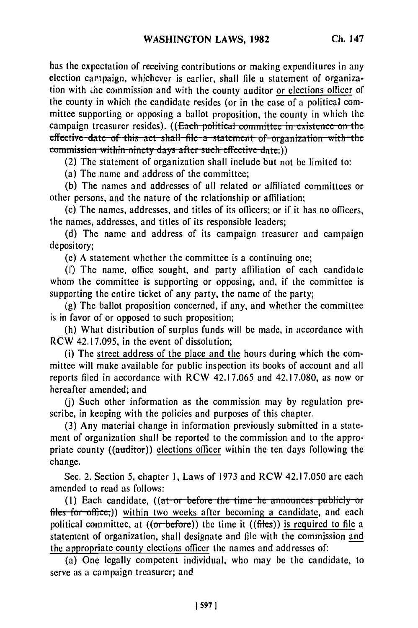has the expectation of receiving contributions or making expenditures in any election campaign, whichever is earlier, shall file a statement of organization with **the** commission and with the county auditor or elections officer of the county in which the candidate resides (or in the case of a political committee supporting or opposing a ballot proposition, the county in which the campaign treasurer resides). ((Each political committee in existence on the effective date of this act shall file a statement of organization with the commission within ninety days after such effective date.))

(2) The statement of organization shall include but not be limited to:

(a) The name and address of the committee;

(b) The names and addresses of all related or affiliated committees or other persons, and the nature of the relationship or affiliation;

(c) The names, addresses, and titles of its officers; or if it has no officers, the names, addresses, and titles of its responsible leaders;

(d) The name and address of its campaign treasurer and campaign depository;

(e) A statement whether the committee is a continuing one;

(f) The name, office sought, and party affiliation of each candidate whom the committee is supporting or opposing, and, if the committee is supporting the entire ticket of any party, the name of the party;

(g) The ballot proposition concerned, if any, and whether the committee is in favor of or opposed to such proposition;

(h) What distribution of surplus funds will be made, in accordance with RCW 42.17.095, in the event of dissolution;

(i) The street address of the place and the hours during which the committee will make available for public inspection its books of account and all reports filed in accordance with RCW 42.17.065 and 42.17.080, as now or hereafter amended; and

(j) Such other information as the commission may by regulation prescribe, in keeping with the policies and purposes of this chapter.

(3) Any material change in information previously submitted in a statement of organization shall be reported to the commission and to the appropriate county ((auditor)) elections officer within the ten days following the change.

Sec. 2. Section 5, chapter **1,** Laws of 1973 and RCW 42.17.050 are each amended to read as follows:

(1) Each candidate, ((at or before the time he announces publicly or files for office;)) within two weeks after becoming a candidate, and each political committee, at  $((or before))$  the time it  $((files))$  is required to file a statement of organization, shall designate and file with the commission and the appropriate county elections officer the names and addresses of:

(a) One legally competent individual, who may be the candidate, to serve as a campaign treasurer; and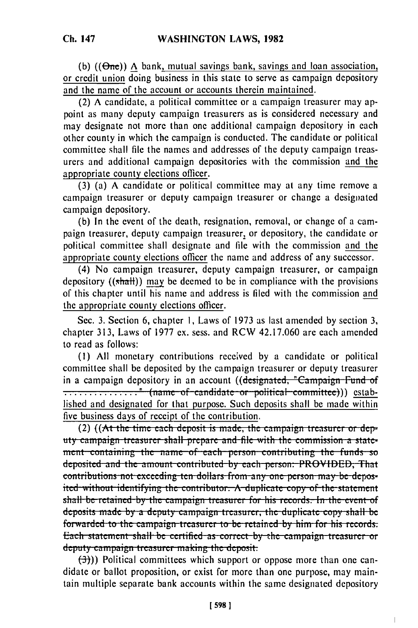**(b)** ((8ne)) **A** bank, mutual savings bank, savings and loan association, or credit union doing business in this state to serve as campaign depository and the name of the account or accounts therein maintained.

(2) **A** candidate, a political committee or a campaign treasurer may appoint as many deputy campaign treasurers as is considered necessary and may designate not more than one additional campaign depository in each other county in which the campaign is conducted. The candidate or political committee shall file the names and addresses of the deputy campaign treasurers and additional campaign depositories with the commission and the appropriate county elections officer.

**(3)** (a) **A** candidate or political committee may at any time remove a campaign treasurer or deputy campaign treasurer or change a designated campaign depository.

**(b)** In the event of the death, resignation, removal, or change of a campaign treasurer, deputy campaign treasurer, or depository, the candidate or political committee shall designate and file with the commission and the appropriate county elections officer the name and address of any successor.

(4) No campaign treasurer, deputy campaign treasurer, or campaign depository ((shall)) may be deemed to be in compliance with the provisions of this chapter until his name and address is **filed** with the commission and the appropriate county elections officer.

Sec. **3.** Section **6,** chapter **1,** Laws of **1973** as last amended **by** section **3,** chapter **313,** Laws of **1977** ex. sess. and RCW 42.17.060 are each amended to read as follows:

**(I) All** monetary contributions received **by** a candidate or political committee shall be deposited **by** the campaign treasurer or deputy treasurer in a campaign depository in an account ((designated, "Campaign Fund of **.................."** (name of candidate or political committee))) established and designated for that purpose. Such deposits shall be made within five business days of receipt of the contribution.

(2) ((At the time each deposit is made, the campaign treasurer or dep-(2) ((At the time each deposit is made, the campaign treasurer of dep-<br>dry campaign treasurer shall prepare and file with the commission a state ment containing the name of each person contributing the funds so deposited and the amount contributed by each person: PROVIDED, That **contributions not exceeding ten dollars from any one person may be deposu** the 1 test of the 1 test of the 1 test of the statement identifying the contributor. A duplicate copy of the statement shall be retained by the campaign treasurer for his records. In the event of deposits made by a deputy campaign treasurer, the duplicate copy shall be forwarded to the campaign treasurer to be retained by him for his records. Each statement shall be certified as correct by the campaign treasurer or deputy campaign treasurer making the deposit:<br>(3)) Political committees which support or oppose more than one can-

didate or ballot proposition, or exist for more than one purpose, may maintain multiple separate bank accounts within the same designated depository

 $\overline{1}$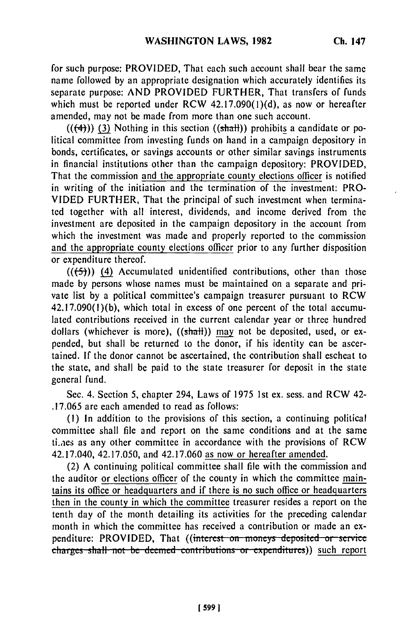for such purpose: PROVIDED, That each such account shall bear the same name followed by an appropriate designation which accurately identifies its separate purpose: AND PROVIDED FURTHER, That transfers of funds which must be reported under RCW 42.17.090(1)(d), as now or hereafter amended, may not be made from more than one such account.

 $((+4))$  (3) Nothing in this section  $((shath))$  prohibits a candidate or political committee from investing funds on hand in a campaign depository in bonds, certificates, or savings accounts or other similar savings instruments in financial institutions other than the campaign depository: PROVIDED, That the commission and the appropriate county elections officer is notified in writing of the initiation and the termination of the investment: PRO-VIDED FURTHER, That the principal of such investment when terminated together with all interest, dividends, and income derived from the investment are deposited in the campaign depository in the account from which the investment was made and properly reported to the commission and the appropriate county elections officer prior to any further disposition or expenditure thereof.

 $((\left\langle 5\right\rangle))$  (4) Accumulated unidentified contributions, other than those made by persons whose names must be maintained on a separate and private list by a political committee's campaign treasurer pursuant to RCW 42.17.090(l)(b), which total in excess of one percent of the total accumulated contributions received in the current calendar year or three hundred dollars (whichever is more), ((shall)) may not be deposited, used, or expended, but shall be returned to the donor, if his identity can be ascertained. If the donor cannot be ascertained, the contribution shall escheat to the state, and shall be paid to the state treasurer for deposit in the state general fund.

Sec. 4. Section 5, chapter 294, Laws of 1975 1st ex. sess. and RCW 42- .17.065 are each amended to read as follows:

**(1)** In addition to the provisions of this section, a continuing political committee shall file and report on the same conditions and at the same ti.aes as any other committee in accordance with the provisions of RCW 42.17.040, 42.17.050, and 42.17.060 as now or hereafter amended.

(2) A continuing political committee shall file with the commission and the auditor or elections officer of the county in which the committee maintains its office or headquarters and if there is no such office or headquarters then in the county in which the committee treasurer resides a report on the tenth day of the month detailing its activities for the preceding calendar month in which the committee has received a contribution or made an expenditure: PROVIDED, That ((interest on moneys deposited or service) charges shall not be deemed contributions or expenditures)) such report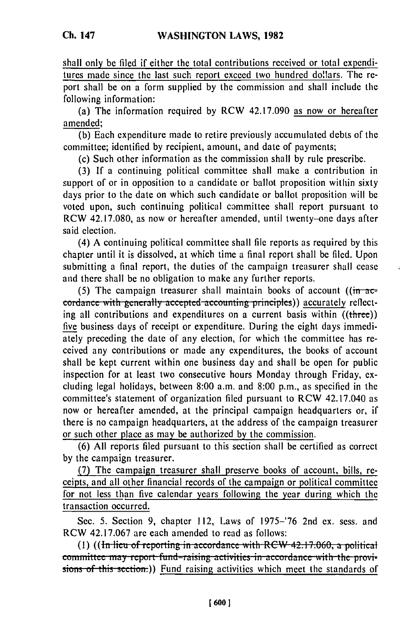shall only be filed if either the total contributions received or total expenditures made since the last such report exceed two hundred dollars. The report shall be on a form supplied by the commission and shall include the following information:

(a) The information required by RCW 42.17.090 as now or hereafter amended;

(b) Each expenditure made to retire previously accumulated debts of the committee; identified by recipient, amount, and date of payments;

(c) Such other information as the commission shall by rule prescribe.

(3) If a continuing political committee shall make a contribution in support of or in opposition to a candidate or ballot proposition within sixty days prior to the date on which such candidate or ballot proposition will be voted upon, such continuing political committee shall report pursuant to RCW 42.17.080, as now or hereafter amended, until twenty-one days after said election.

(4) A continuing political committee shall file reports as required by this chapter until it is dissolved, at which time a final report shall be filed. Upon submitting a final report, the duties of the campaign treasurer shall cease and there shall be no obligation to make any further reports.

í.

(5) The campaign treasurer shall maintain books of account ( $\left(\frac{\partial u}{\partial x}\right)^2$ **cordance with generally accepted accounting principles)) accurately reflect**ing all contributions and expenditures on a current basis within  $((three))$ five business days of receipt or expenditure. During the eight days immediately preceding the date of any election, for which the committee has received any contributions or made any expenditures, the books of account shall be kept current within one business day and shall be open for public inspection for at least two consecutive hours Monday through Friday, excluding legal holidays, between 8:00 a.m. and 8:00 p.m., as specified in the committee's statement of organization filed pursuant to RCW 42.17.040 as now or hereafter amended, at the principal campaign headquarters or, if there is no campaign headquarters, at the address of the campaign treasurer or such other place as may be authorized by the commission.

(6) All reports filed pursuant to this section shall be certified as correct by the campaign treasurer.

(7) The campaign treasurer shall preserve books of account, bills, receipts, and all other financial records of the campaign or political committee for not less than five calendar years following the year during which the transaction occurred.

Sec. 5. Section 9, chapter 112, Laws of 1975-'76 2nd ex. sess. and RCW 42.17.067 are each amended to read as follows:<br>(1) **((In lieu of reporting in accordance with RCW 42.17.060, a political** 

committee may report fund-raising activities in accordance with the provisions of this section.)) Fund raising activities which meet the standards of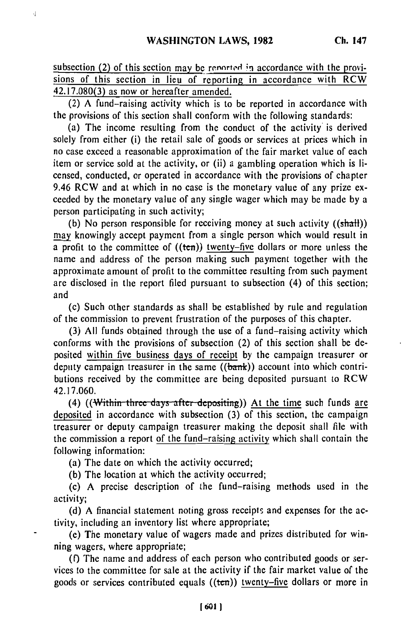subsection (2) of this section may be reported in accordance with the provisions of this section in lieu of reporting in accordance with RCW 42.17.080(3) as now or hereafter amended.

(2) A fund-raising activity which is to be reported in accordance with the provisions of this section shall conform with the following standards:

(a) The income resulting from the conduct of the activity is derived solely from either (i) the retail sale of goods or services at prices which in no case exceed a reasonable approximation of the fair market value of each item or service sold at the activity, or (ii) a gambling operation which is licensed, conducted, or operated in accordance with the provisions of chapter 9.46 RCW and at which in no case is the monetary value of any prize exceeded by the monetary value of any single wager which may be made by a person participating in such activity;

(b) No person responsible for receiving money at such activity  $((shath))$ may knowingly accept payment from a single person which would result in a profit to the committee of  $((ten))$  twenty-five dollars or more unless the name and address of the person making such payment together with the approximate amount of profit to the committee resulting from such payment are disclosed in the report filed pursuant to subsection (4) of this section; and

(c) Such other standards as shall be established by rule and regulation of the commission to prevent frustration of the purposes of this chapter.

(3) All funds obtained through the use of a fund-raising activity which conforms with the provisions of subsection (2) of this section shall be deposited within five business days of receipt by the campaign treasurer or deputy campaign treasurer in the same  $((**bank**))$  account into which contributions received by the committee are being deposited pursuant to RCW 42.17.060.

(4) ((Within three days after depositing)) At the time such funds are deposited in accordance with subsection (3) of this section, the campaign treasurer or deputy campaign treasurer making the deposit shall file with the commission a report of the fund-raising activity which shall contain the following information:

(a) The date on which the activity occurred;

(b) The location at which the activity occurred;

(c) A precise description of the fund-raising methods used in the activity;

(d) A financial statement noting gross receipts and expenses for the activity, including an inventory list where appropriate;

(e) The monetary value of wagers made and prizes distributed for winning wagers, where appropriate;

(f) The name and address of each person who contributed goods or services to the committee for sale at the activity if the fair market value of the goods or services contributed equals ((ten)) twenty-five dollars or more in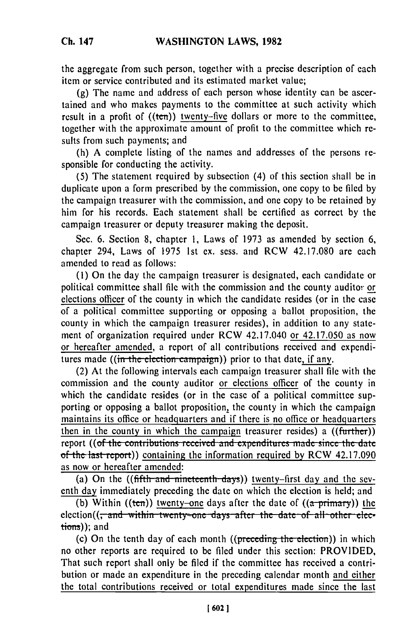the aggregate from such person, together with a precise description of each item or service contributed and its estimated market value;

(g) The name and address of each person whose identity can be ascertained and who makes payments to the committee at such activity which result in a profit of  $((ten))$  twenty-five dollars or more to the committee, together with the approximate amount of profit to the committee which results from such payments; and

(h) A complete listing of the names and addresses of the persons responsible for conducting the activity.

**(5)** The statement required by subsection (4) of this section shall be in duplicate upon a form prescribed by the commission, one copy to be filed by the campaign treasurer with the commission, and one copy to be retained by him for his records. Each statement shall be certified as correct by the campaign treasurer or deputy treasurer making the deposit.

Sec. 6. Section 8, chapter 1, Laws of 1973 as amended by section 6, chapter 294, Laws of 1975 1st ex. sess. and RCW 42.17.080 are each amended to read as follows:

(1) On the day the campaign treasurer is designated, each candidate or political committee shall file with the commission and the county auditor or elections officer of the county in which the candidate resides (or in the case of a political committee supporting or opposing a ballot proposition, the county in which the campaign treasurer resides), in addition to any statement of organization required under RCW 42.17.040 or 42.17.050 as now or hereafter amended, a report of all contributions received and expenditures made  $((\text{in the election campaign}))$  prior to that date, if any.

(2) At the following intervals each campaign treasurer shall file with the commission and the county auditor or elections officer of the county in which the candidate resides (or in the case of a political committee supporting or opposing a ballot proposition, the county in which the campaign maintains its office or headquarters and if there is no office or headquarters then in the county in which the campaign treasurer resides) a  $(\overline{(further)})$ report ((of the contributions received and expenditures made since the date of the last report)) containing the information required by RCW  $42.17.090$ as now or hereafter amended:

(a) On the  $((\text{fifth and nineteenth days}))$  twenty-first day and the seventh day immediately preceding the date on which the election is held; and

(b) Within ((ten)) twenty-one days after the date of  $((a-primary))$  the election((<del>, and within twenty-one days after the date of all other elec-</del>  $tions)$ ); and

(c) On the tenth day of each month  $((\text{preceding the election}))$  in which no other reports are required to be filed under this section: PROVIDED, That such report shall only be filed if the committee has received a contribution or made an expenditure in the preceding calendar month and either the total contributions received or total expenditures made since the last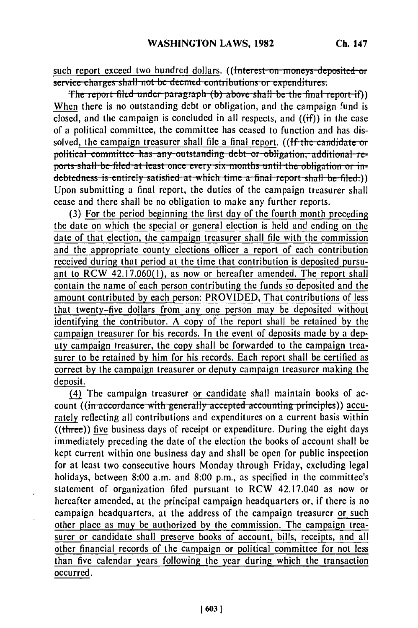such report exceed two hundred dollars. ((Interest on moneys deposited or service charges shall not be deemed contributions or expenditures.

The report filed under paragraph (b) above shall be the final report if)) When there is no outstanding debt or obligation, and the campaign fund is closed, and the campaign is concluded in all respects, and  $((if))$  in the case of a political committee, the committee has ceased to function and has dissolved, the campaign treasurer shall file a final report. ((If the candidate or political committee has any outstanding debt or obligation, additional reports shall be filed at least once every six months until the obligation or indebtedness is entirely satisfied at which time a final report shall be filed.) Upon submitting a final report, the duties of the campaign treasurer shall cease and there shall be no obligation to make any further reports.

(3) For the period beginning the first day of the fourth month preceding the date on which the special or general election is held and ending on the date of that election, the campaign treasurer shall file with the commission and the appropriate county elections officer a report of each contribution received during that period at the time that contribution is deposited pursuant to RCW 42.17.060(1), as now or hereafter amended. The report shall contain the name of each person contributing the funds so deposited and the amount contributed by each person: PROVIDED, That contributions of less that twenty-five dollars from any one person may be deposited without identifying the contributor. A copy of the report shall be retained by the campaign treasurer for his records. In the event of deposits made by a deputy campaign treasurer, the copy shall be forwarded to the campaign treasurer to be retained by him for his records. Each report shall be certified as correct by the campaign treasurer or deputy campaign treasurer making the deposit.

(4) The campaign treasurer or candidate shall maintain books of account ((in accordance with generally accepted accounting principles)) accurately reflecting all contributions and expenditures on a current basis within  $\overline{(\text{three})}$  five business days of receipt or expenditure. During the eight days immediately preceding the date of the election the books of account shall be kept current within one business day and shall be open for public inspection for at least two consecutive hours Monday through Friday, excluding legal holidays, between 8:00 a.m. and 8:00 p.m., as specified in the committee's statement of organization filed pursuant to RCW 42.17.040 as now or hereafter amended, at the principal campaign headquarters or, if there is no campaign headquarters, at the address of the campaign treasurer or such other place as may be authorized by the commission. The campaign treasurer or candidate shall preserve books of account, bills, receipts, and all other financial records of the campaign or political committee for not less than five calendar years following the year during which the transaction occurred.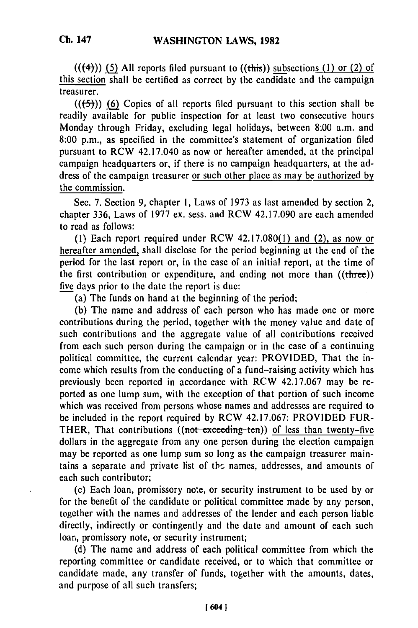**Ch. 147**

(((4)) **(5) All** reports filed pursuant to ((this)) subsections **(1)** or (2) of this section shall be certified as correct by the candidate and the campaign treasurer.

 $((\leftarrow, \leftarrow))$  (6) Copies of all reports filed pursuant to this section shall be readily available for public inspection for at least two consecutive hours Monday through Friday, excluding legal holidays, between 8:00 a.m. and 8:00 p.m., as specified in the committee's statement of organization filed pursuant to RCW 42.17.040 as now or hereafter amended, at the principal campaign headquarters or, if there is no campaign headquarters, at the address of the campaign treasurer or such other place as may be authorized by the commission.

Sec. 7. Section 9, chapter **1,** Laws of 1973 as last amended by section 2, chapter 336, Laws of 1977 ex. sess. and RCW 42.17.090 are each amended to read as follows:

**(1)** Each report required under RCW 42.17.080(1) and (2), as now or hereafter amended, shall disclose for the period beginning at the end of the period for the last report or, in the case of an initial report, at the time of the first contribution or expenditure, and ending not more than ((three)) five days prior to the date the report is due:

(a) The funds on hand at the beginning of the period;

(b) The name and address of each person who has made one or more contributions during the period, together with the money value and date of such contributions and the aggregate value of all contributions received from each such person during the campaign or in the case of a continuing political committee, the current calendar year: PROVIDED, That the income which results from the conducting of a fund-raising activity which has previously been reported in accordance with RCW 42.17.067 may be reported as one lump sum, with the exception of that portion of such income which was received from persons whose names and addresses are required to be included in the report required by RCW 42.17.067: PROVIDED FUR-THER, That contributions ((not exceeding ten)) of less than twenty-five dollars in the aggregate from any one person during the election campaign may be reported as one lump sum so long as the campaign treasurer maintains a separate and private list of the names, addresses, and amounts of each such contributor;

(c) Each loan, promissory note, or security instrument to be used by or for the benefit of the candidate or political committee made by any person, together with the names and addresses of the lender and each person liable directly, indirectly or contingently and the date and amount of each such loan, promissory note, or security instrument;

(d) The name and address of each political committee from which the reporting committee or candidate received, or to which that committee or candidate made, any transfer of funds, together with the amounts, dates, and purpose of all such transfers;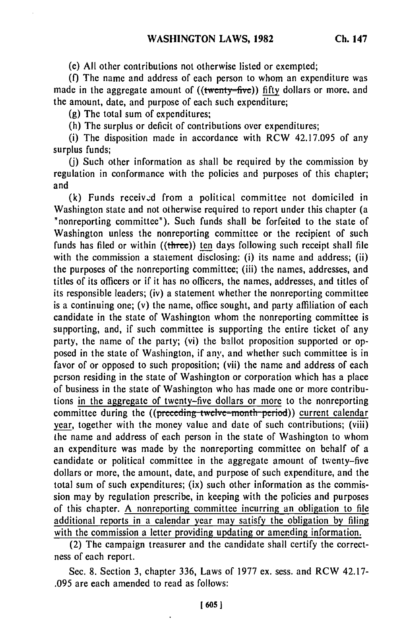(e) **All** other contributions not otherwise listed or exempted;

(f) The name and address of each person to whom an expenditure was made in the aggregate amount of ((twenty-five)) fifty dollars or more, and the amount, date, and purpose of each such expenditure;

(g) The total sum of expenditures;

(h) The surplus or deficit of contributions over expenditures;

(i) The disposition made in accordance with RCW 42.17.095 of any surplus funds;

(j) Such other information as shall be required by the commission by regulation in conformance with the policies and purposes of this chapter; and

(k) Funds received from a political committee not domiciled in Washington state and not otherwise required to report under this chapter (a "nonreporting committee"). Such funds shall be forfeited to the state of Washington unless the nonreporting committee or the recipient of such funds has filed or within ((three)) ten days following such receipt shall file with the commission a statement disclosing: (i) its name and address; (ii) the purposes of the nonreporting committee; (iii) the names, addresses, and titles of its officers or if it has no officers, the names, addresses, and titles of its responsible leaders; (iv) a statement whether the nonreporting committee is a continuing one; (v) the name, office sought, and party affiliation of each candidate in the state of Washington whom the nonreporting committee is supporting, and, if such committee is supporting the entire ticket of any party, the name of the party; (vi) the ballot proposition supported or opposed in the state of Washington, if any, and whether such committee is in favor of or opposed to such proposition; (vii) the name and address of each person residing in the state of Washington or corporation which has a place of business in the state of Washington who has made one or more contributions in the aggregate of twenty-five dollars or more to the nonreporting committee during the ((preceding twelve-month period)) current calendar year, together with the money value and date of such contributions; (viii) the name and address of each person in the state of Washington to whom an expenditure was made by the nonreporting committee on behalf of a candidate or political committee in the aggregate amount of twenty-five dollars or more, the amount, date, and purpose of such expenditure, and the total sum of such expenditures; (ix) such other information as the commission may by regulation prescribe, in keeping with the policies and purposes of this chapter. A nonreporting committee incurring an obligation to file additional reports in a calendar year may satisfy the obligation by filing with the commission a letter providing updating or amending information.

(2) The campaign treasurer and the candidate shall certify the correctness of each report.

Sec. 8. Section 3, chapter 336, Laws of 1977 ex. sess. and RCW 42.17- .095 are each amended to read as follows: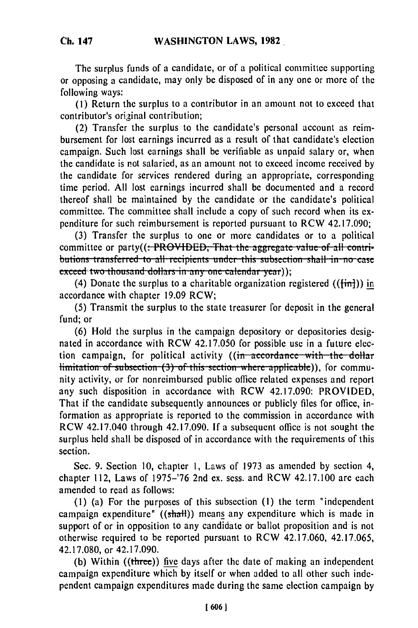**Ch. 147**

The surplus funds of a candidate, or of a political committee supporting or opposing a candidate, may only be disposed of in any one or more of the following ways:

(1) Return the surplus to a contributor in an amount not to exceed that contributor's original contribution;

(2) Transfer the surplus to the candidate's personal account as reimbursement for lost earnings incurred as a result of that candidate's election campaign. Such lost earnings shall be verifiable as unpaid salary or, when the candidate is not salaried, as an amount not to exceed income received by the candidate for services rendered during an appropriate, corresponding time period. All lost earnings incurred shall be documented and a record thereof shall be maintained by the candidate or the candidate's political committee. The committee shall include a copy of such record when its expenditure for such reimbursement is reported pursuant to RCW 42.17.090;

(3) Transfer the surplus to one or more candidates or to a political committee or party((: PROVIDED, That the aggregate value of all contributions transferred to all recipients under this subsection shall in no case exceed two thousand dollars in any one calendar year));

(4) Donate the surplus to a charitable organization registered  $((\text{fin})$ ) in accordance with chapter 19.09 RCW;

(5) Transmit the surplus to the state treasurer for deposit in the general fund; or

(6) Hold the surplus in the campaign depository or depositories designated in accordance with RCW 42.17.050 for possible use in a future election campaign, for political activity ((in accordance with the dollar limitation of subsection (3) of this section where applicable)), for community activity, or for nonreimbursed public office related expenses and report any such disposition in accordance with RCW 42.17.090: PROVIDED, That if the candidate subsequently announces or publicly files for office, information as appropriate is reported to the commission in accordance with RCW 42.17.040 through 42.17.090. If a subsequent office is not sought the surplus held shall be disposed of in accordance with the requirements of this section.

Sec. 9. Section 10, chapter 1, Laws of 1973 as amended by section 4, chapter 112, Laws of 1975-'76 2nd ex. sess. and RCW 42.17.100 are each amended to read as follows:

(1) (a) For the purposes of this subsection **(1)** the term "independent campaign expenditure"  $((shath))$  means any expenditure which is made in support of or in opposition to any candidate or ballot proposition and is not otherwise required to be reported pursuant to RCW 42.17.060, 42.17.065, 42.17.080, or 42.17.090.

(b) Within ((three)) five days after the date of making an independent campaign expenditure which by itself or when added to all other such independent campaign expenditures made during the same election campaign by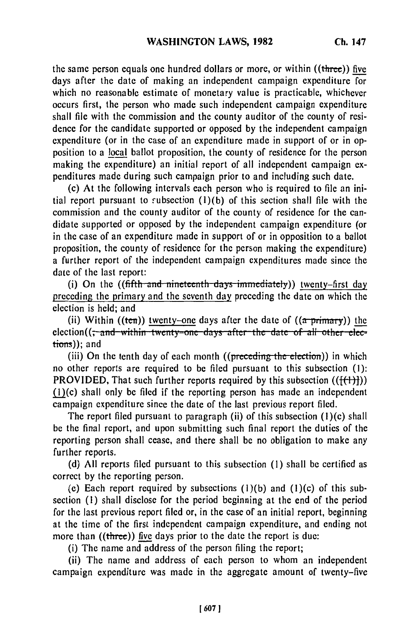the same person equals one hundred dollars or more, or within ((three)) five days after the date of making an independent campaign expenditure for which no reasonable estimate of monetary value is practicable, whichever occurs first, the person who made such independent campaign expenditure shall file with the commission and the county auditor of the county of residence for the candidate supported or opposed by the independent campaign expenditure (or in the case of an expenditure made in support of or in opposition to a local ballot proposition, the county of residence for the person making the expenditure) an initial report of all independent campaign expenditures made during such campaign prior to and including such date.

(c) At the following intervals each person who is required to file an initial report pursuant to subsection  $(l)(b)$  of this section shall file with the commission and the county auditor of the county of residence for the candidate supported or opposed by the independent campaign expenditure (or in the case of an expenditure made in support of or in opposition to a ballot proposition, the county of residence for the person making the expenditure) a further report of the independent campaign expenditures made since the date of the last report:

(i) On the  $((\text{fifth-and-mintereenth-days-immediately}))$  twenty-first day preceding the primary and the seventh day preceding the date on which the election is held; and

(ii) Within ((ten)) <u>twenty-one</u> days after the date of (( $\frac{\pi}{(a \text{ primary})}$ ) the election( $\frac{\pi}{(a \text{ arbitrary})}$  attention( $\frac{\pi}{(a \text{ arbitrary})}$ ) the **change of**  $\frac{\pi}{(a \text{ arbitrary})}$ tions)); and

(iii) On the tenth day of each month  $((preceding the electron))$  in which no other reports are required to be filed pursuant to this subsection (1): **PROVIDED**, That such further reports required by this subsection  $((\{\{\{\}\})\})$ (i)(c) shall only be filed if the reporting person has made an independent campaign expenditure since the date of the last previous report filed.

The report filed pursuant to paragraph (ii) of this subsection (1)(c) shall be the final report, and upon submitting such final report the duties of the reporting person shall cease, and there shall be no obligation to make any further reports.

(d) All reports filed pursuant to this subsection **(1)** shall be certified as correct by the reporting person.

(e) Each report required by subsections  $(1)(b)$  and  $(1)(c)$  of this subsection **(1)** shall disclose for the period beginning at the end of the period for the last previous report filed or, in the case of an initial report, beginning at the time of the first independent campaign expenditure, and ending not more than ((three)) five days prior to the date the report is due:

(i) The name and address of the person filing the report;

(ii) The name and address of each person to whom an independent campaign expenditure was made in the aggregate amount of twenty-five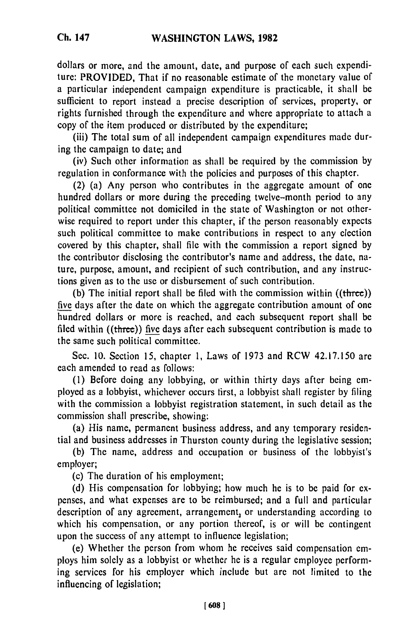dollars or more, and the amount, date, and purpose of each such expenditure: PROVIDED, That if no reasonable estimate of the monetary value of a particular independent campaign expenditure is practicable, it shall be sufficient to report instead a precise description of services, property, or rights furnished through the expenditure and where appropriate to attach a copy of the item produced or distributed by the expenditure;

(iii) The total sum of all independent campaign expenditures made during the campaign to date; and

(iv) Such other information as shall be required by the commission by regulation in conformance with the policies and purposes of this chapter.

(2) (a) Any person who contributes in the aggregate amount of one hundred dollars or more during the preceding twelve-month period to any political committee not domiciled in the state of Washington or not otherwise required to report under this chapter, if the person reasonably expects such political committee to make contributions in respect to any election covered by this chapter, shall file with the commission a report signed by the contributor disclosing the contributor's name and address, the date, nature, purpose, amount, and recipient of such contribution, and any instructions given as to the use or disbursement of such contribution.

(b) The initial report shall be filed with the commission within ((three)) five days after the date on which the aggregate contribution amount of one hundred dollars or more is reached, and each subsequent report shall be filed within ((three)) five days after each subsequent contribution is made to the same such political committee.

Sec. 10. Section 15, chapter 1, Laws of 1973 and RCW 42.17.150 are each amended to read as follows:

(1) Before doing any lobbying, or within thirty days after being employed as a lobbyist, whichever occurs first, a lobbyist shall register by filing with the commission a lobbyist registration statement, in such detail as the commission shall prescribe, showing:

(a) His name, permanent business address, and any temporary residential and business addresses in Thurston county during the legislative session;

(b) The name, address and occupation or business of the lobbyist's employer;

(c) The duration of his employment;

(d) His compensation for lobbying; how much he is to be paid for expenses, and what expenses are to be reimbursed; and a full and particular description of any agreement, arrangement, or understanding according to which his compensation, or any portion thereof, is or will be contingent upon the success of any attempt to influence legislation;

(e) Whether the person from whom he receives said compensation employs him solely as a lobbyist or whether he is a regular employee performing services for his employer which include but are not limited to the influencing of legislation;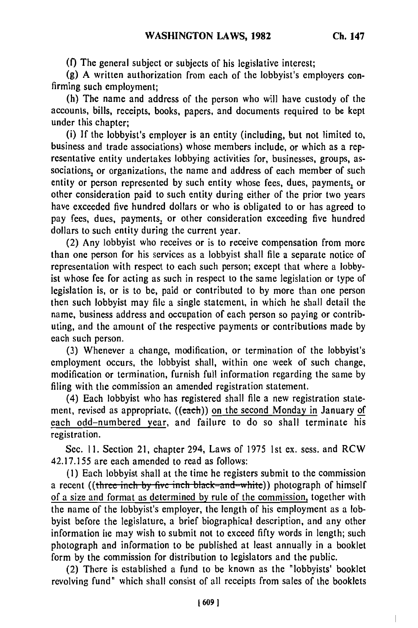**(f)** The general subject or subjects of his legislative interest;

(g) A written authorization from each of the lobbyist's employers confirming such employment;

(h) The name and address of the person who will have custody of the accounts, bills, receipts, books, papers, and documents required to be kept under this chapter;

(i) If the lobbyist's employer is an entity (including, but not limited to, business and trade associations) whose members include, or which as a representative entity undertakes lobbying activities for, businesses, groups, associations, or organizations, the name and address of each member of such entity or person represented **by** such entity whose fees, dues, payments, or other consideration paid to such entity during either of the prior two years have exceeded five hundred dollars or who is obligated to or has agreed to pay fees, dues, payments, or other consideration exceeding five hundred dollars to such entity during the current year.

(2) Any lobbyist who receives or is to receive compensation from more than one person for his services as a lobbyist shall file a separate notice of representation with respect to each such person; except that where a lobbyist whose fee for acting as such in respect to the same legislation or type of legislation is, or is to be, paid or contributed to **by** more than one person then such lobbyist may file a single statement, in which he shall detail the name, business address and occupation of each person so paying or contributing, and the amount of the respective payments or contributions made **by** each such person.

(3) Whenever a change, modification, or termination of the lobbyist's employment occurs, the lobbyist shall, within one week of such change, modification or termination, furnish full information regarding the same **by** filing with the commission an amended registration statement.

(4) Each lobbyist who has registered shall file a new registration statement, revised as appropriate,  $((each))$  on the second Monday in January of each odd-numbered year, and failure to do so shall terminate his registration.

Sec. **11.** Section 21, chapter 294, Laws of 1975 1st ex. sess. and RCW 42.17.155 are each amended to read as follows:

**(1)** Each lobbyist shall at the time he registers submit to the commission a recent ((three inch by five inch black-and-white)) photograph of himself of a size and format as determined **by** rule of the commission, together with the name of the lobbyist's employer, the length of his employment as a lobbyist before the legislature, a brief biographical description, and any other information lie may wish to submit not to exceed fifty words in length; such photograph and information to be published at least annually in a booklet form by the commission for distribution to legislators and the public.

(2) There is established a fund to be known as the "lobbyists' booklet revolving fund" which shall consist of all receipts from sales of the booklets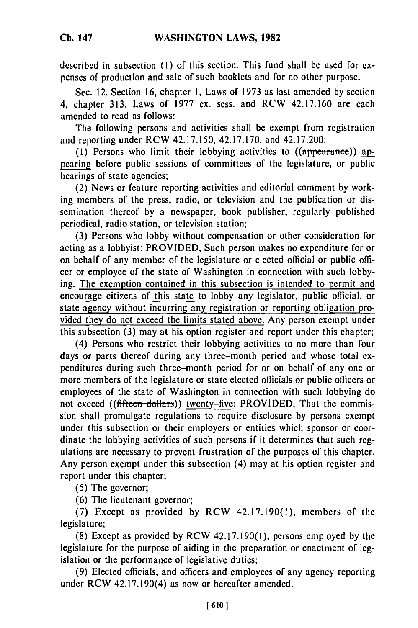described in subsection **(1)** of this section. This fund shall be used for expenses of production and sale of such booklets and for no other purpose.

Sec. 12. Section 16, chapter 1, Laws of 1973 as last amended by section 4, chapter 313, Laws of 1977 ex. sess. and RCW 42.17.160 are each amended to read as follows:

The following persons and activities shall be exempt from registration and reporting under RCW 42.17.150, 42.17.170, and 42.17.200:

(1) Persons who limit their lobbying activities to ((appearance)) appearing before public sessions of committees of the legislature, or public hearings of state agencies;

(2) News or feature reporting activities and editorial comment by working members of the press, radio, or television and the publication or dissemination thereof by a newspaper, book publisher, regularly published periodical, radio station, or television station;

(3) Persons who lobby without compensation or other consideration for acting as a lobbyist: PROVIDED, Such person makes no expenditure for or on behalf of any member of the legislature or elected official or public officer or employee of the state of Washington in connection with such lobbying. The exemption contained in this subsection is intended to permit and encourage citizens of this state to lobby any legislator, public official, or state agency without incurring any registration or reporting obligation provided they do not exceed the limits stated above. Any person exempt under this subsection (3) may at his option register and report under this chapter;

(4) Persons who restrict their lobbying activities to no more than four days or parts thereof during any three-month period and whose total expenditures during such three-month period for or on behalf of any one or more members of the legislature or state elected officials or public officers or employees of the state of Washington in connection with such lobbying do not exceed ((fifteen-dollars)) twenty-five: PROVIDED, That the commission shall promulgate regulations to require disclosure by persons exempt under this subsection or their employers or entities which sponsor or coordinate the lobbying activities of such persons if it determines that such regulations are necessary to prevent frustration of the purposes of this chapter. Any person exempt under this subsection (4) may at his option register and report under this chapter;

(5) The governor;

(6) The lieutenant governor;

(7) Fxcept as provided by RCW 42.17.190(1), members of the legislature;

(8) Except as provided by RCW 42.17.190(1), persons employed by the legislature for the purpose of aiding in the preparation or enactment of legislation or the performance of legislative duties;

(9) Elected officials, and officers and employees of any agency reporting under RCW 42.17.190(4) as now or hereafter amended.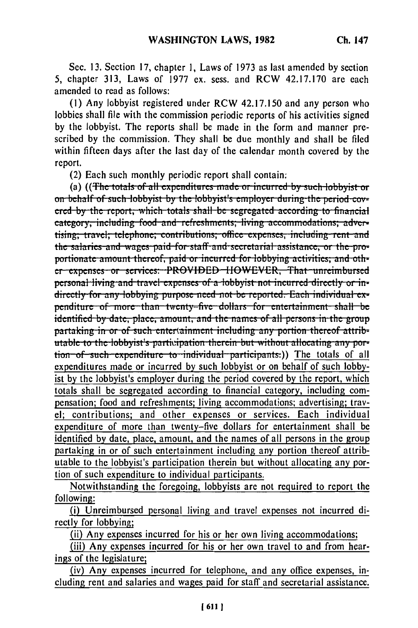Sec. 13. Section 17, chapter 1, Laws of 1973 as last amended by section 5. chapter 313. Laws of 1977 ex. sess. and RCW 42.17.170 are each amended to read as follows:

(1) Any lobbyist registered under RCW 42.17.150 and any person who lobbies shall file with the commission periodic reports of his activities signed by the lobbyist. The reports shall be made in the form and manner prescribed by the commission. They shall be due monthly and shall be filed within fifteen days after the last day of the calendar month covered by the report.

(2) Each such monthly periodic report shall contain:

(a) ((The totals of all expenditures made or incurred by such lobbyist or on behalf of such lobbyist by the lobbyist's employer during the period covered by the report, which totals shall be segregated according to financial category, including food and refreshments; living accommodations; advertising; travel; telephone; contributions; office expenses, including rent and the salaries and wages paid for staff and secretarial assistance, or the proportionate amount thereof, paid or incurred for lobbying activities; and other expenses or services: PROVIDED HOWEVER, That unreimbursed personal living and travel expenses of a lobbyist not incurred directly or indirectly for any lobbying purpose need not be reported. Each individual expenditure of more than twenty-five dollars for entertainment shall be identified by date, place, amount, and the names of all persons in the group partaking in or of such entertainment including any portion thereof attributable to the lobbyist's participation therein but without allocating any portion of such expenditure to individual participants.)) The totals of all expenditures made or incurred by such lobbyist or on behalf of such lobbyist by the lobbyist's employer during the period covered by the report, which totals shall be segregated according to financial category, including compensation; food and refreshments; living accommodations; advertising; travel; contributions; and other expenses or services. Each individual expenditure of more than twenty-five dollars for entertainment shall be identified by date, place, amount, and the names of all persons in the group partaking in or of such entertainment including any portion thereof attributable to the lobbyist's participation therein but without allocating any portion of such expenditure to individual participants.

Notwithstanding the foregoing, lobbyists are not required to report the following:

(i) Unreimbursed personal living and travel expenses not incurred directly for lobbying:

(ii) Any expenses incurred for his or her own living accommodations;

(iii) Any expenses incurred for his or her own travel to and from hearings of the legislature;

(iv) Any expenses incurred for telephone, and any office expenses, including rent and salaries and wages paid for staff and secretarial assistance.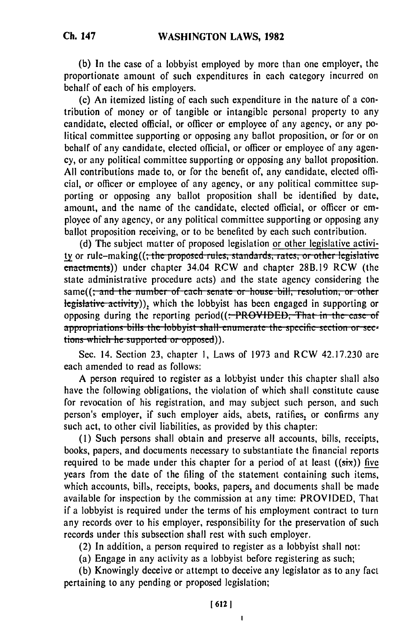(b) In the case of a lobbyist employed by more than one employer, the proportionate amount of such expenditures in each category incurred on behalf of each of his employers.

(c) An itemized listing of each such expenditure in the nature of a contribution of money or of tangible or intangible personal property to any candidate, elected official, or officer or employee of any agency, or any political committee supporting or opposing any ballot proposition, or for or on behalf of any candidate, elected official, or officer or employee of any agency, or any political committee supporting or opposing any ballot proposition. All contributions made to, or for the benefit of, any candidate, elected official, or officer or employee of any agency, or any political committee supporting or opposing any ballot proposition shall be identified by date, amount, and the name of the candidate, elected official, or officer or employee of any agency, or any political committee supporting or opposing any ballot proposition receiving, or to be benefited by each such contribution.

(d) The subject matter of proposed legislation or other legislative activity or rule-making((; the proposed rules, standards, rates, or other legislative enactments)) under chapter 34.04 RCW and chapter 28B.19 RCW (the state administrative procedure acts) and the state agency considering the same((<del>; and the number of each senate or house bill, resolution, or other</del> legislative activity)), which the lobbyist has been engaged in supporting or opposing during the reporting period((:-PROVIDED; That in the case of appropriations bills the lobbyist shall enumerate the specific section or sections which he supported or opposed)).

Sec. 14. Section 23, chapter 1, Laws of 1973 and RCW 42.17.230 are each amended to read as follows:

A person required to register as a lobbyist under this chapter shall also have the following obligations, the violation of which shall constitute cause for revocation of his registration, and may subject such person, and such person's employer, if such employer aids, abets, ratifies, or confirms any such act, to other civil liabilities, as provided by this chapter:

(1) Such persons shall obtain and preserve all accounts, bills, receipts, books, papers, and documents necessary to substantiate the financial reports required to be made under this chapter for a period of at least  $((six))$  five years from the date of the filing of the statement containing such items, which accounts, bills, receipts, books, papers, and documents shall be made available for inspection by the commission at any time: PROVIDED, That if a lobbyist is required under the terms of his employment contract to turn any records over to his employer, responsibility for the preservation of such records under this subsection shall rest with such employer.

(2) In addition, a person required to register as a lobbyist shall not:

(a) Engage in any activity as a lobbyist before registering as such;

(b) Knowingly deceive or attempt to deceive any legislator as to any fact pertaining to any pending or proposed legislation;

 $\pmb{\mathsf{I}}$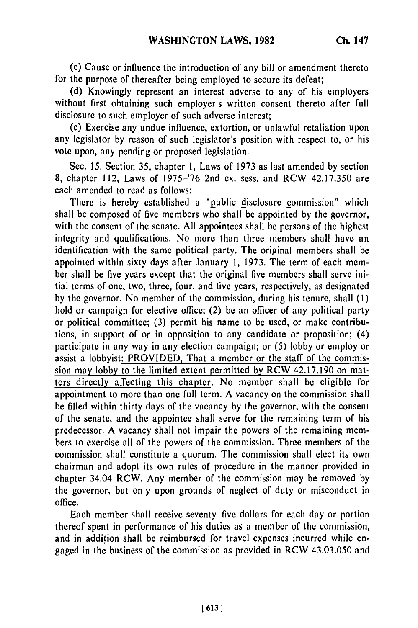(c) Cause or influence the introduction of any bill or amendment thereto for the purpose of thereafter being employed to secure its defeat;

(d) Knowingly represent an interest adverse to any of his employers without first obtaining such employer's written consent thereto after full disclosure to such employer of such adverse interest;

(e) Exercise any undue influence, extortion, or unlawful retaliation upon any legislator by reason of such legislator's position with respect to, or his vote upon, any pending or proposed legislation.

Sec. 15. Section 35, chapter 1, Laws of 1973 as last amended by section 8, chapter 112, Laws of 1975-'76 2nd ex. sess. and RCW 42.17.350 are each amended to read as follows:

There is hereby established a "public disclosure commission" which shall be composed of five members who shall be appointed by the governor, with the consent of the senate. All appointees shall be persons of the highest integrity and qualifications. No more than three members shall have an identification with the same political party. The original members shall be appointed within sixty days after January 1, 1973. The term of each member shall be five years except that the original five members shall serve initial terms of one, two, three, four, and live years, respectively, as designated by the governor. No member of the commission, during his tenure, shall (1) hold or campaign for elective office; (2) be an officer of any political party or political committee; (3) permit his name to be used, or make contributions, in support of or in opposition to any candidate or proposition; (4) participate in any way in any election campaign; or (5) lobby or employ or assist a lobbyist: PROVIDED, That a member or the staff of the commission may lobby to the limited extent permitted by RCW 42.17.190 on matters directly affecting this chapter. No member shall be eligible for appointment to more than one full term. A vacancy on the commission shall be filled within thirty days of the vacancy by the governor, with the consent of the senate, and the appointee shall serve for the remaining term of his predecessor. A vacancy shall not impair the powers of the remaining members to exercise all of the powers of the commission. Three members of the commission shall constitute a quorum. The commission shall elect its own chairman and adopt its own rules of procedure in the manner provided in chapter 34.04 RCW. Any member of the commission may be removed by the governor, but only upon grounds of neglect of duty or misconduct in office.

Each member shall receive seventy-five dollars for each day or portion thereof spent in performance of his duties as a member of the commission, and in addition shall be reimbursed for travel expenses incurred while engaged in the business of the commission as provided in RCW 43.03.050 and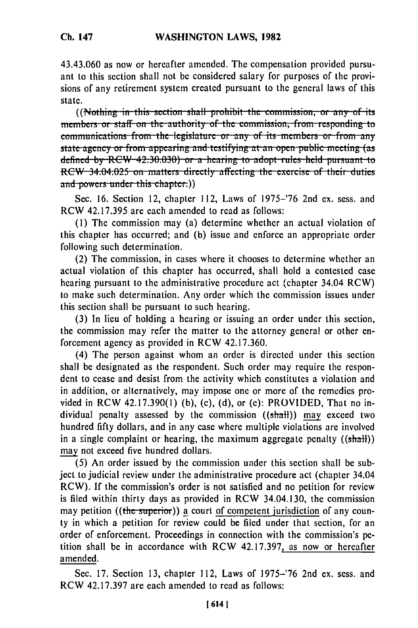43.43.060 as now or hereafter amended. The compensation provided pursuant to this section shall not be considered salary for purposes of the provisions of any retirement system created pursuant to the general laws of this state.

((Nothing in this section shall prohibit the commission, or any of its members or staff on the authority of the commission, from responding to communications from the legislature or any of its members or from any state agency or from appearing and testifying at an open public meeting (as defined by RCW-42:30.030) or a hearing to adopt rules held pursuant to RCW 34.04.025 on matters directly affecting the exercise of their duties and powers under this chapter.))

Sec. 16. Section 12, chapter 112, Laws of 1975–'76 2nd ex. sess. and RCW 42.17.395 are each amended to read as follows:

(1) The commission may (a) determine whether an actual violation of this chapter has occurred; and (b) issue and enforce an appropriate order following such determination.

(2) The commission, in cases where it chooses to determine whether an actual violation of this chapter has occurred, shall hold a contested case hearing pursuant to the administrative procedure act (chapter 34.04 RCW) to make such determination. Any order which the commission issues under this section shall be pursuant to such hearing.

(3) In lieu of holding a hearing or issuing an order under this section, the commission may refer the matter to the attorney general or other enforcement agency as provided in RCW 42.17.360.

(4) The person against whom an order is directed under this section shall be designated as the respondent. Such order may require the respondent to cease and desist from the activity which constitutes a violation and in addition, or alternatively, may impose one or more of the remedies provided in RCW 42.17.390(1) (b), (c), (d), or (e): PROVIDED, That no individual penalty assessed by the commission ((shall)) may exceed two hundred fifty dollars, and in any case where multiple violations are involved in a single complaint or hearing, the maximum aggregate penalty  $((shall))$ may not exceed five hundred dollars.

(5) An order issued by the commission under this section shall be subject to judicial review under the administrative procedure act (chapter 34.04) RCW). If the commission's order is not satisfied and no petition for review is filed within thirty days as provided in RCW 34.04.130, the commission may petition ((the superior)) a court of competent jurisdiction of any county in which a petition for review could be filed under that section, for an order of enforcement. Proceedings in connection with the commission's petition shall be in accordance with RCW 42.17.397, as now or hereafter amended.

Sec. 17. Section 13, chapter 112, Laws of 1975-'76 2nd ex. sess. and RCW 42.17.397 are each amended to read as follows: